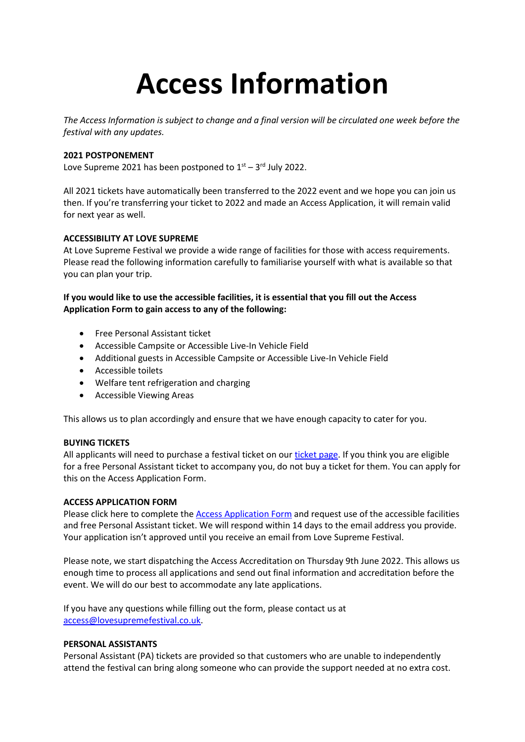# **Access Information**

*The Access Information is subject to change and a final version will be circulated one week before the festival with any updates.*

# **2021 POSTPONEMENT**

Love Supreme 2021 has been postponed to  $1<sup>st</sup> - 3<sup>rd</sup>$  July 2022.

All 2021 tickets have automatically been transferred to the 2022 event and we hope you can join us then. If you're transferring your ticket to 2022 and made an Access Application, it will remain valid for next year as well.

# **ACCESSIBILITY AT LOVE SUPREME**

At Love Supreme Festival we provide a wide range of facilities for those with access requirements. Please read the following information carefully to familiarise yourself with what is available so that you can plan your trip.

# **If you would like to use the accessible facilities, it is essential that you fill out the Access Application Form to gain access to any of the following:**

- Free Personal Assistant ticket
- Accessible Campsite or Accessible Live-In Vehicle Field
- Additional guests in Accessible Campsite or Accessible Live-In Vehicle Field
- Accessible toilets
- Welfare tent refrigeration and charging
- Accessible Viewing Areas

This allows us to plan accordingly and ensure that we have enough capacity to cater for you.

## **BUYING TICKETS**

All applicants will need to purchase a festival ticket on our [ticket page.](https://lovesupremefestival.com/tickets) If you think you are eligible for a free Personal Assistant ticket to accompany you, do not buy a ticket for them. You can apply for this on the Access Application Form.

## **ACCESS APPLICATION FORM**

Please click here to complete the [Access Application Form](https://forms.office.com/Pages/ResponsePage.aspx?id=4V1cv1RqkUCnL5DjKAFijA77Rc4V0p5JvtkJi7pHem9UMUgwUklRN05SRkdRNDZDTUdKWkpYRDRYRC4u) and request use of the accessible facilities and free Personal Assistant ticket. We will respond within 14 days to the email address you provide. Your application isn't approved until you receive an email from Love Supreme Festival.

Please note, we start dispatching the Access Accreditation on Thursday 9th June 2022. This allows us enough time to process all applications and send out final information and accreditation before the event. We will do our best to accommodate any late applications.

If you have any questions while filling out the form, please contact us at [access@lovesupremefestival.co.uk.](mailto:access@lovesupremefestival.co.uk)

## **PERSONAL ASSISTANTS**

Personal Assistant (PA) tickets are provided so that customers who are unable to independently attend the festival can bring along someone who can provide the support needed at no extra cost.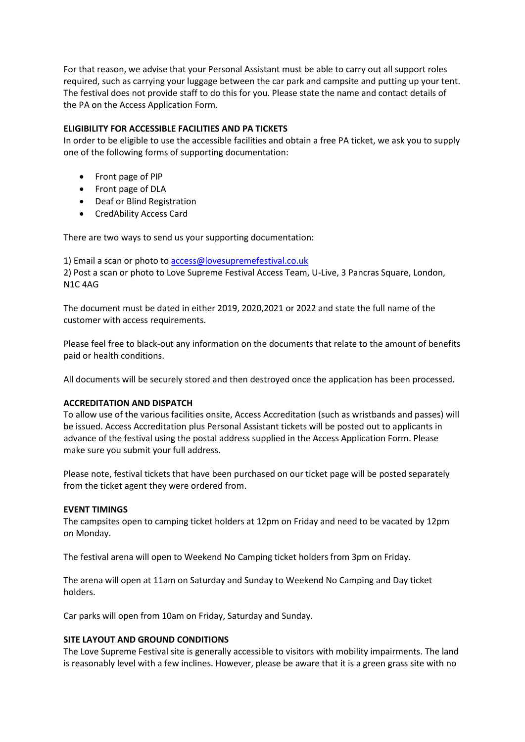For that reason, we advise that your Personal Assistant must be able to carry out all support roles required, such as carrying your luggage between the car park and campsite and putting up your tent. The festival does not provide staff to do this for you. Please state the name and contact details of the PA on the Access Application Form.

## **ELIGIBILITY FOR ACCESSIBLE FACILITIES AND PA TICKETS**

In order to be eligible to use the accessible facilities and obtain a free PA ticket, we ask you to supply one of the following forms of supporting documentation:

- Front page of PIP
- Front page of DLA
- Deaf or Blind Registration
- CredAbility Access Card

There are two ways to send us your supporting documentation:

1) Email a scan or photo to [access@lovesupremefestival.co.uk](mailto:access@lovesupremefestival.co.uk)

2) Post a scan or photo to Love Supreme Festival Access Team, U-Live, 3 Pancras Square, London, N1C 4AG

The document must be dated in either 2019, 2020,2021 or 2022 and state the full name of the customer with access requirements.

Please feel free to black-out any information on the documents that relate to the amount of benefits paid or health conditions.

All documents will be securely stored and then destroyed once the application has been processed.

## **ACCREDITATION AND DISPATCH**

To allow use of the various facilities onsite, Access Accreditation (such as wristbands and passes) will be issued. Access Accreditation plus Personal Assistant tickets will be posted out to applicants in advance of the festival using the postal address supplied in the Access Application Form. Please make sure you submit your full address.

Please note, festival tickets that have been purchased on our ticket page will be posted separately from the ticket agent they were ordered from.

## **EVENT TIMINGS**

The campsites open to camping ticket holders at 12pm on Friday and need to be vacated by 12pm on Monday.

The festival arena will open to Weekend No Camping ticket holders from 3pm on Friday.

The arena will open at 11am on Saturday and Sunday to Weekend No Camping and Day ticket holders.

Car parks will open from 10am on Friday, Saturday and Sunday.

## **SITE LAYOUT AND GROUND CONDITIONS**

The Love Supreme Festival site is generally accessible to visitors with mobility impairments. The land is reasonably level with a few inclines. However, please be aware that it is a green grass site with no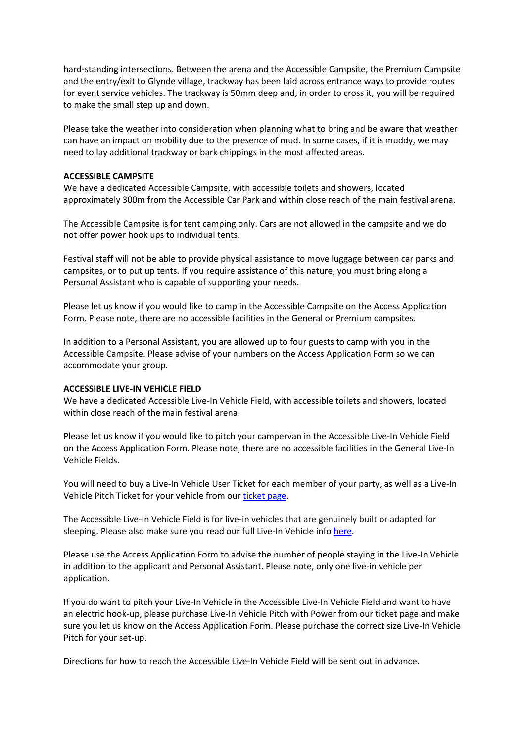hard-standing intersections. Between the arena and the Accessible Campsite, the Premium Campsite and the entry/exit to Glynde village, trackway has been laid across entrance ways to provide routes for event service vehicles. The trackway is 50mm deep and, in order to cross it, you will be required to make the small step up and down.

Please take the weather into consideration when planning what to bring and be aware that weather can have an impact on mobility due to the presence of mud. In some cases, if it is muddy, we may need to lay additional trackway or bark chippings in the most affected areas.

## **ACCESSIBLE CAMPSITE**

We have a dedicated Accessible Campsite, with accessible toilets and showers, located approximately 300m from the Accessible Car Park and within close reach of the main festival arena.

The Accessible Campsite is for tent camping only. Cars are not allowed in the campsite and we do not offer power hook ups to individual tents.

Festival staff will not be able to provide physical assistance to move luggage between car parks and campsites, or to put up tents. If you require assistance of this nature, you must bring along a Personal Assistant who is capable of supporting your needs.

Please let us know if you would like to camp in the Accessible Campsite on the Access Application Form. Please note, there are no accessible facilities in the General or Premium campsites.

In addition to a Personal Assistant, you are allowed up to four guests to camp with you in the Accessible Campsite. Please advise of your numbers on the Access Application Form so we can accommodate your group.

## **ACCESSIBLE LIVE-IN VEHICLE FIELD**

We have a dedicated Accessible Live-In Vehicle Field, with accessible toilets and showers, located within close reach of the main festival arena.

Please let us know if you would like to pitch your campervan in the Accessible Live-In Vehicle Field on the Access Application Form. Please note, there are no accessible facilities in the General Live-In Vehicle Fields.

You will need to buy a Live-In Vehicle User Ticket for each member of your party, as well as a Live-In Vehicle Pitch Ticket for your vehicle from ou[r ticket page.](https://lovesupremefestival.com/weekend-tickets/)

The Accessible Live-In Vehicle Field is for live-in vehicles that are genuinely built or adapted for sleeping. Please also make sure you read our full Live-In Vehicle info [here.](https://lovesupremefestival.com/accommodation/)

Please use the Access Application Form to advise the number of people staying in the Live-In Vehicle in addition to the applicant and Personal Assistant. Please note, only one live-in vehicle per application.

If you do want to pitch your Live-In Vehicle in the Accessible Live-In Vehicle Field and want to have an electric hook-up, please purchase Live-In Vehicle Pitch with Power from our ticket page and make sure you let us know on the Access Application Form. Please purchase the correct size Live-In Vehicle Pitch for your set-up.

Directions for how to reach the Accessible Live-In Vehicle Field will be sent out in advance.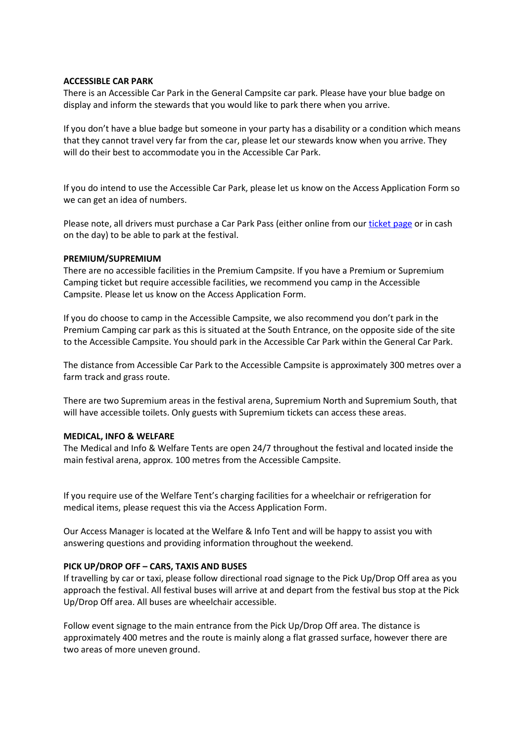## **ACCESSIBLE CAR PARK**

There is an Accessible Car Park in the General Campsite car park. Please have your blue badge on display and inform the stewards that you would like to park there when you arrive.

If you don't have a blue badge but someone in your party has a disability or a condition which means that they cannot travel very far from the car, please let our stewards know when you arrive. They will do their best to accommodate you in the Accessible Car Park.

If you do intend to use the Accessible Car Park, please let us know on the Access Application Form so we can get an idea of numbers.

Please note, all drivers must purchase a Car Park Pass (either online from our [ticket page](https://lovesupremefestival.com/weekend-tickets/) or in cash on the day) to be able to park at the festival.

## **PREMIUM/SUPREMIUM**

There are no accessible facilities in the Premium Campsite. If you have a Premium or Supremium Camping ticket but require accessible facilities, we recommend you camp in the Accessible Campsite. Please let us know on the Access Application Form.

If you do choose to camp in the Accessible Campsite, we also recommend you don't park in the Premium Camping car park as this is situated at the South Entrance, on the opposite side of the site to the Accessible Campsite. You should park in the Accessible Car Park within the General Car Park.

The distance from Accessible Car Park to the Accessible Campsite is approximately 300 metres over a farm track and grass route.

There are two Supremium areas in the festival arena, Supremium North and Supremium South, that will have accessible toilets. Only guests with Supremium tickets can access these areas.

## **MEDICAL, INFO & WELFARE**

The Medical and Info & Welfare Tents are open 24/7 throughout the festival and located inside the main festival arena, approx. 100 metres from the Accessible Campsite.

If you require use of the Welfare Tent's charging facilities for a wheelchair or refrigeration for medical items, please request this via the Access Application Form.

Our Access Manager is located at the Welfare & Info Tent and will be happy to assist you with answering questions and providing information throughout the weekend.

## **PICK UP/DROP OFF – CARS, TAXIS AND BUSES**

If travelling by car or taxi, please follow directional road signage to the Pick Up/Drop Off area as you approach the festival. All festival buses will arrive at and depart from the festival bus stop at the Pick Up/Drop Off area. All buses are wheelchair accessible.

Follow event signage to the main entrance from the Pick Up/Drop Off area. The distance is approximately 400 metres and the route is mainly along a flat grassed surface, however there are two areas of more uneven ground.